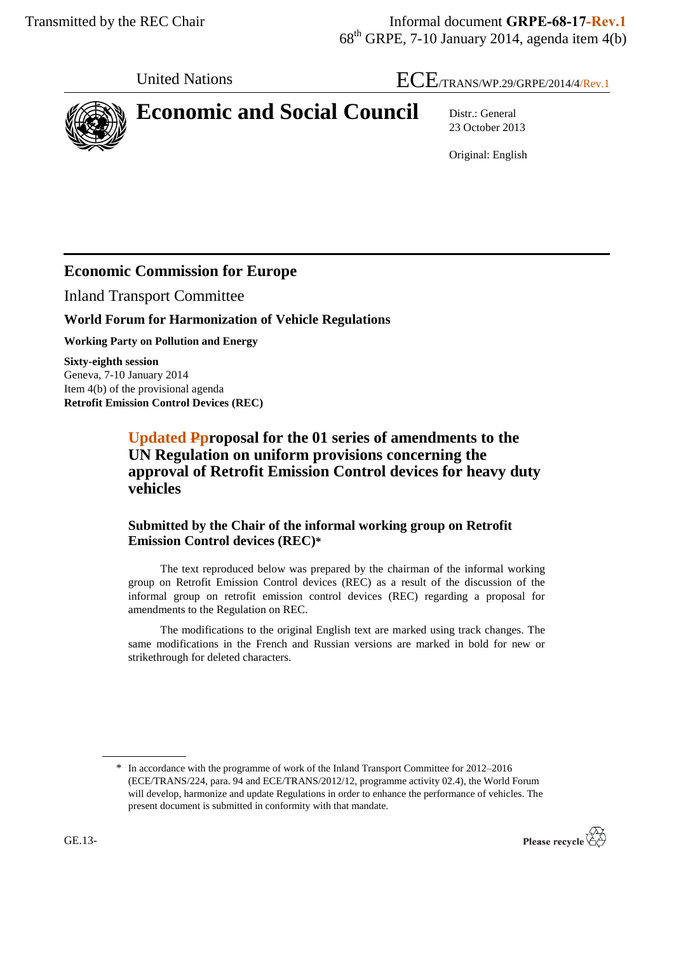# United Nations  $\text{ECE}_{\text{TRANS/WP.29/GRPE/2014/4/Rev.1}}$



23 October 2013

Original: English

# **Economic Commission for Europe**

Inland Transport Committee

#### **World Forum for Harmonization of Vehicle Regulations**

**Working Party on Pollution and Energy**

**Sixty-eighth session** Geneva, 7-10 January 2014 Item 4(b) of the provisional agenda **Retrofit Emission Control Devices (REC)**

> **Updated Pproposal for the 01 series of amendments to the UN Regulation on uniform provisions concerning the approval of Retrofit Emission Control devices for heavy duty vehicles**

#### **Submitted by the Chair of the informal working group on Retrofit Emission Control devices (REC)\***

The text reproduced below was prepared by the chairman of the informal working group on Retrofit Emission Control devices (REC) as a result of the discussion of the informal group on retrofit emission control devices (REC) regarding a proposal for amendments to the Regulation on REC.

The modifications to the original English text are marked using track changes. The same modifications in the French and Russian versions are marked in bold for new or strikethrough for deleted characters.

<sup>\*</sup> In accordance with the programme of work of the Inland Transport Committee for 2012–2016 (ECE/TRANS/224, para. 94 and ECE/TRANS/2012/12, programme activity 02.4), the World Forum will develop, harmonize and update Regulations in order to enhance the performance of vehicles. The present document is submitted in conformity with that mandate.

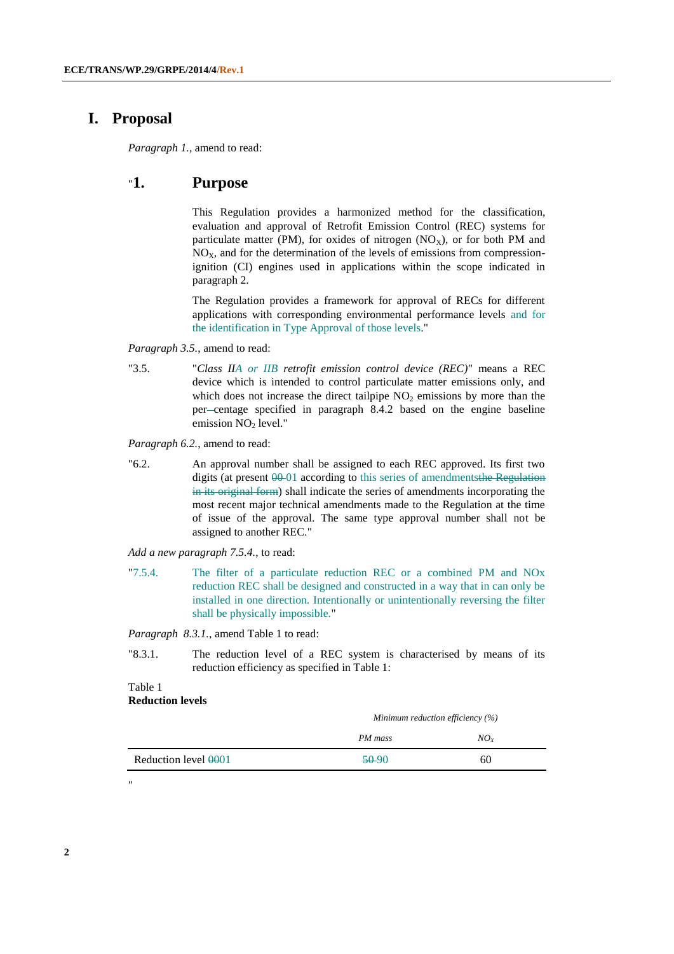#### **I. Proposal**

*Paragraph 1.*, amend to read:

#### "**1. Purpose**

This Regulation provides a harmonized method for the classification, evaluation and approval of Retrofit Emission Control (REC) systems for particulate matter (PM), for oxides of nitrogen  $(NO<sub>X</sub>)$ , or for both PM and  $NO<sub>X</sub>$ , and for the determination of the levels of emissions from compressionignition (CI) engines used in applications within the scope indicated in paragraph 2.

The Regulation provides a framework for approval of RECs for different applications with corresponding environmental performance levels and for the identification in Type Approval of those levels."

*Paragraph 3.5.*, amend to read:

"3.5. "*Class IIA or IIB retrofit emission control device (REC)*" means a REC device which is intended to control particulate matter emissions only, and which does not increase the direct tailpipe  $NO<sub>2</sub>$  emissions by more than the per-centage specified in paragraph 8.4.2 based on the engine baseline emission NO<sub>2</sub> level."

*Paragraph 6.2.*, amend to read:

"6.2. An approval number shall be assigned to each REC approved. Its first two digits (at present  $00-01$  according to this series of amendmentsthe Regulation in its original form) shall indicate the series of amendments incorporating the most recent major technical amendments made to the Regulation at the time of issue of the approval. The same type approval number shall not be assigned to another REC."

*Add a new paragraph 7.5.4.*, to read:

"7.5.4. The filter of a particulate reduction REC or a combined PM and NOx reduction REC shall be designed and constructed in a way that in can only be installed in one direction. Intentionally or unintentionally reversing the filter shall be physically impossible."

*Paragraph 8.3.1.*, amend Table 1 to read:

"8.3.1. The reduction level of a REC system is characterised by means of its reduction efficiency as specified in Table 1:

#### Table 1 **Reduction levels**

"

|                                  |         | Minimum reduction efficiency $(\%)$ |
|----------------------------------|---------|-------------------------------------|
|                                  | PM mass | $NO_{X}$                            |
| Reduction level <del>00</del> 01 | $50-90$ | 60                                  |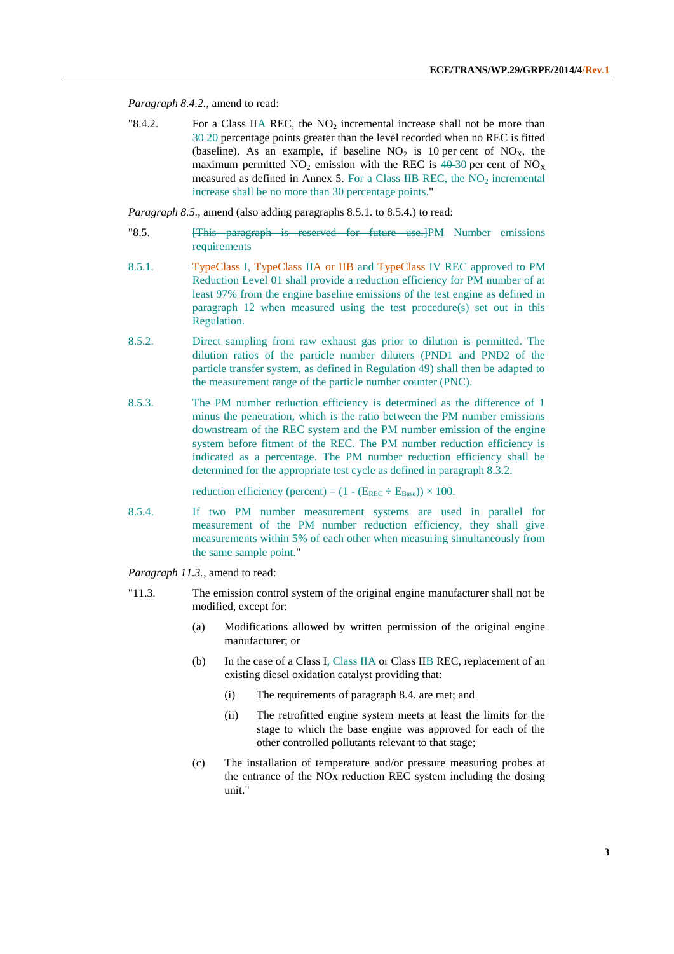*Paragraph 8.4.2.*, amend to read:

"8.4.2. For a Class IIA REC, the NO<sub>2</sub> incremental increase shall not be more than 30 20 percentage points greater than the level recorded when no REC is fitted (baseline). As an example, if baseline  $NO<sub>2</sub>$  is 10 per cent of  $NO<sub>X</sub>$ , the maximum permitted  $NO_2$  emission with the REC is  $40-30$  per cent of  $NO_X$ measured as defined in Annex 5. For a Class IIB REC, the  $NO<sub>2</sub>$  incremental increase shall be no more than 30 percentage points."

*Paragraph 8.5.*, amend (also adding paragraphs 8.5.1. to 8.5.4.) to read:

- "8.5. **[This paragraph is reserved for future use.**]PM Number emissions requirements
- 8.5.1. **TypeClass I, TypeClass IIA or IIB and TypeClass IV REC approved to PM** Reduction Level 01 shall provide a reduction efficiency for PM number of at least 97% from the engine baseline emissions of the test engine as defined in paragraph 12 when measured using the test procedure(s) set out in this Regulation.
- 8.5.2. Direct sampling from raw exhaust gas prior to dilution is permitted. The dilution ratios of the particle number diluters (PND1 and PND2 of the particle transfer system, as defined in Regulation 49) shall then be adapted to the measurement range of the particle number counter (PNC).
- 8.5.3. The PM number reduction efficiency is determined as the difference of 1 minus the penetration, which is the ratio between the PM number emissions downstream of the REC system and the PM number emission of the engine system before fitment of the REC. The PM number reduction efficiency is indicated as a percentage. The PM number reduction efficiency shall be determined for the appropriate test cycle as defined in paragraph 8.3.2.

reduction efficiency (percent) =  $(1 - (E_{REC} \div E_{Base})) \times 100$ .

- 8.5.4. If two PM number measurement systems are used in parallel for measurement of the PM number reduction efficiency, they shall give measurements within 5% of each other when measuring simultaneously from the same sample point."
- *Paragraph 11.3.*, amend to read:
- "11.3. The emission control system of the original engine manufacturer shall not be modified, except for:
	- (a) Modifications allowed by written permission of the original engine manufacturer; or
	- (b) In the case of a Class I, Class IIA or Class IIB REC, replacement of an existing diesel oxidation catalyst providing that:
		- (i) The requirements of paragraph 8.4. are met; and
		- (ii) The retrofitted engine system meets at least the limits for the stage to which the base engine was approved for each of the other controlled pollutants relevant to that stage;
	- (c) The installation of temperature and/or pressure measuring probes at the entrance of the NOx reduction REC system including the dosing unit."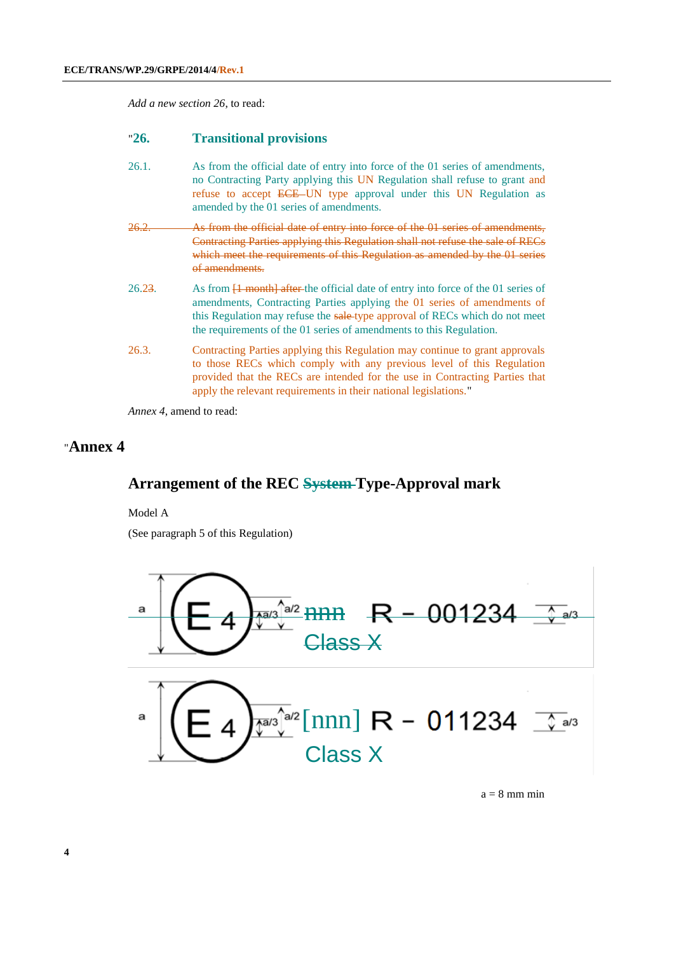*Add a new section 26*, to read:

#### "**26. Transitional provisions**

- 26.1. As from the official date of entry into force of the 01 series of amendments, no Contracting Party applying this UN Regulation shall refuse to grant and refuse to accept ECE UN type approval under this UN Regulation as amended by the 01 series of amendments.
- 26.2. As from the official date of entry into force of the 01 series of amendments, Contracting Parties applying this Regulation shall not refuse the sale of RECs which meet the requirements of this Regulation as amended by the 01 series of amendments.
- 26.23. As from  $\overline{1}$  month after the official date of entry into force of the 01 series of amendments, Contracting Parties applying the 01 series of amendments of this Regulation may refuse the sale-type approval of RECs which do not meet the requirements of the 01 series of amendments to this Regulation.
- 26.3. Contracting Parties applying this Regulation may continue to grant approvals to those RECs which comply with any previous level of this Regulation provided that the RECs are intended for the use in Contracting Parties that apply the relevant requirements in their national legislations."

*Annex 4*, amend to read:

#### "**Annex 4**

#### **Arrangement of the REC System Type-Approval mark**

Model A

(See paragraph 5 of this Regulation)



 $a = 8$  mm min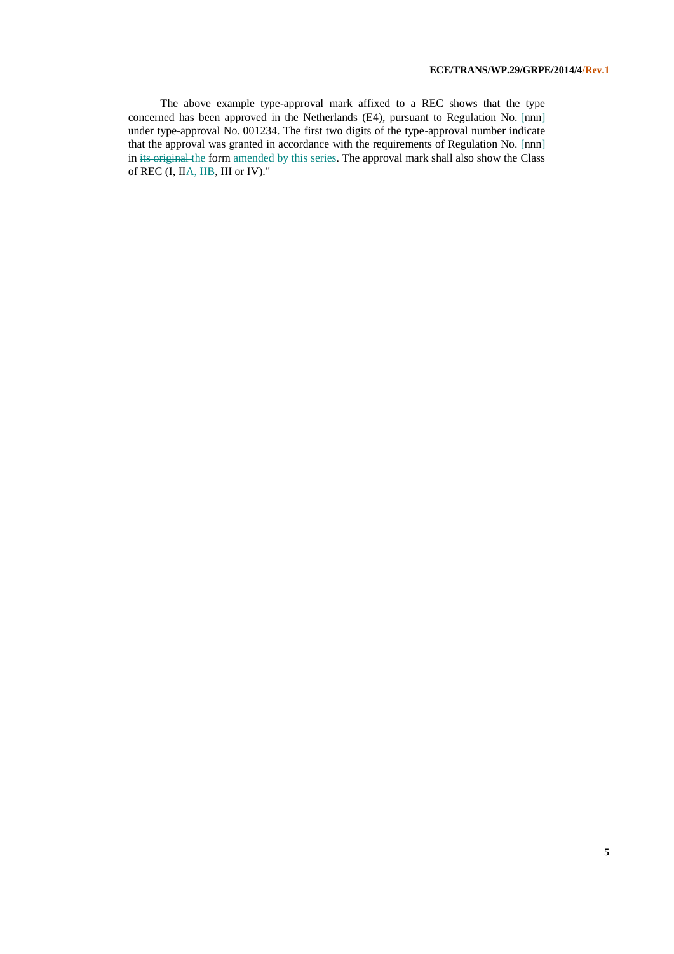The above example type-approval mark affixed to a REC shows that the type concerned has been approved in the Netherlands (E4), pursuant to Regulation No. [nnn] under type-approval No. 001234. The first two digits of the type-approval number indicate that the approval was granted in accordance with the requirements of Regulation No. [nnn] in its original the form amended by this series. The approval mark shall also show the Class of REC (I, IIA, IIB, III or IV)."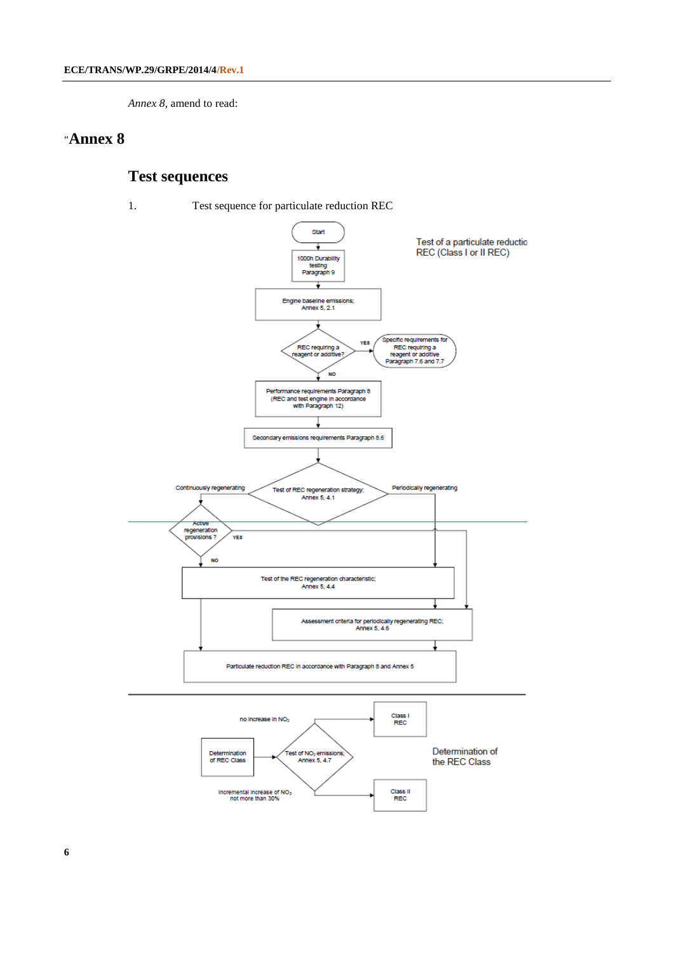*Annex 8*, amend to read:

#### "**Annex 8**

### **Test sequences**

1. Test sequence for particulate reduction REC

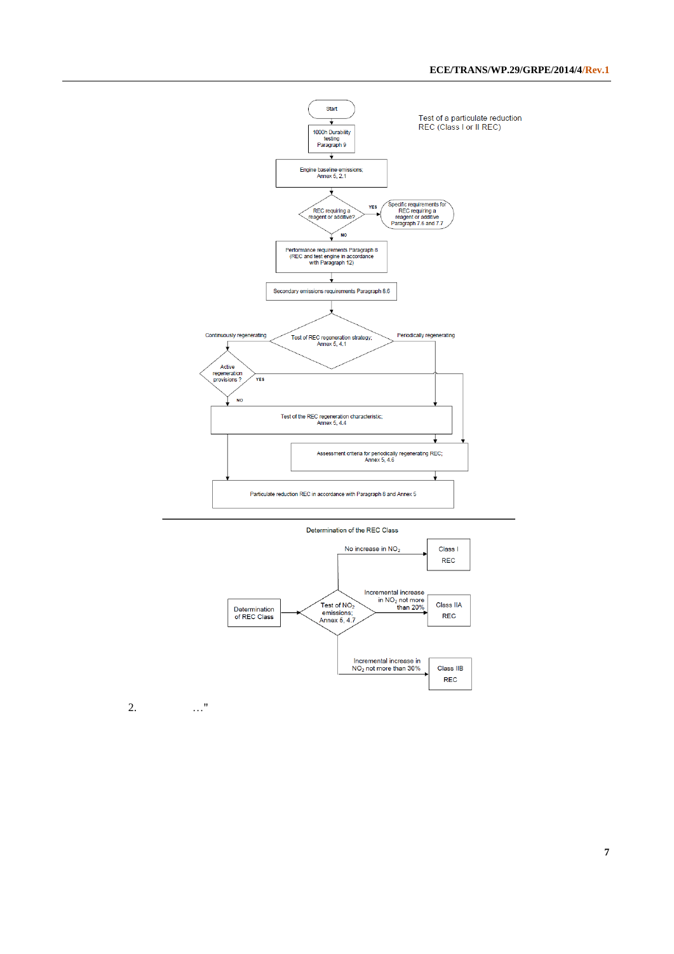



2. …"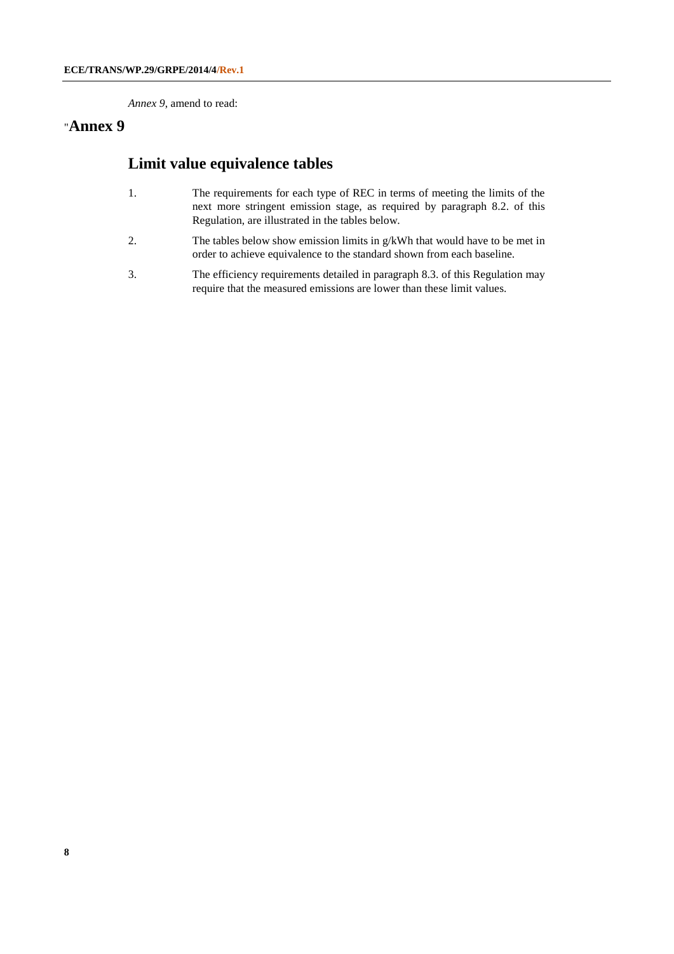*Annex 9*, amend to read:

#### "**Annex 9**

#### **Limit value equivalence tables**

- 1. The requirements for each type of REC in terms of meeting the limits of the next more stringent emission stage, as required by paragraph 8.2. of this Regulation, are illustrated in the tables below.
- 2. The tables below show emission limits in g/kWh that would have to be met in order to achieve equivalence to the standard shown from each baseline.
- 3. The efficiency requirements detailed in paragraph 8.3. of this Regulation may require that the measured emissions are lower than these limit values.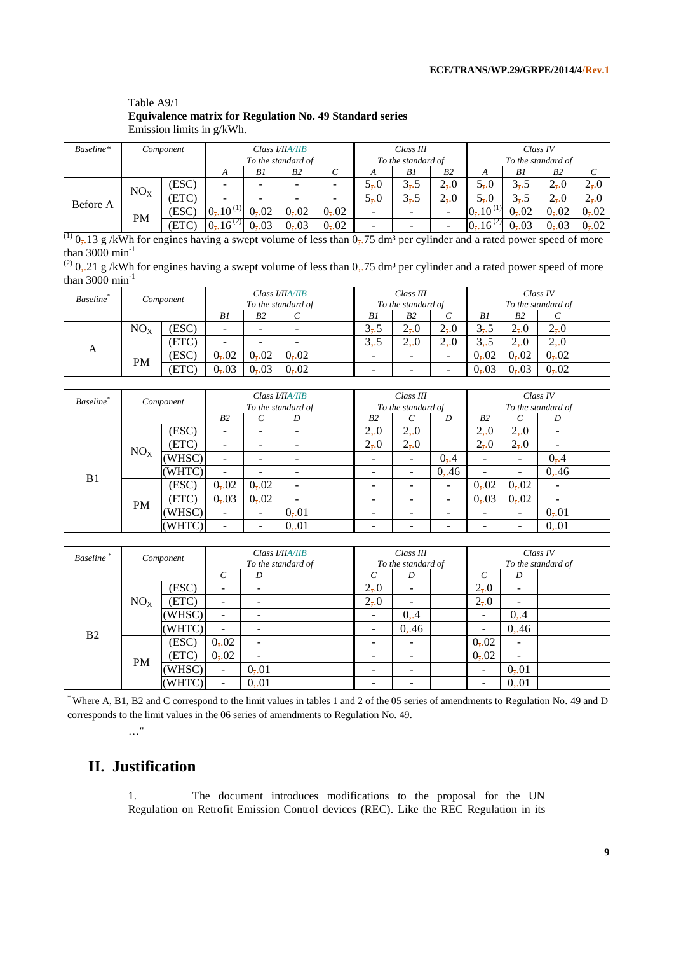#### Table A9/1 **Equivalence matrix for Regulation No. 49 Standard series** Emission limits in g/kWh.

| Baseline* |                 | Component |                         |      | Class <b>I/HA/HB</b> |      |                          | Class III |                          | Class IV                |         |           |                |
|-----------|-----------------|-----------|-------------------------|------|----------------------|------|--------------------------|-----------|--------------------------|-------------------------|---------|-----------|----------------|
|           |                 |           |                         |      | To the standard of   |      | To the standard of       |           |                          | To the standard of      |         |           |                |
|           |                 |           | A                       | B1   | B2                   | С    | A                        | B1        | B <sub>2</sub>           | А                       | B1      | <b>B2</b> |                |
| Before A  | NO <sub>X</sub> | (ESC)     |                         | -    |                      |      | $5-0$                    | $3 - 5$   | $2_{\overline{2}}.0$     | $5-0$                   | $3 - 5$ | $2_{7}0$  | $2_{\bar{1}0}$ |
|           |                 | (ETC)     |                         | -    |                      |      | $5-0$                    | $3 - 5$   | $2 - 0$                  | $5-0$                   | $3 - 5$ | $2_{7}0$  | $2_{\bar{1}0}$ |
|           | <b>PM</b>       | [ESC]     | $0$ , $10^{(1)}$        | 0,02 | 0,02                 | 0,02 | ۰                        | -         | $\overline{\phantom{a}}$ | $0, 10^{(1)}$           | 0,02    | 0,02      | 0,02           |
|           |                 | (ETC)     | $0$ , 16 <sup>(2)</sup> | 0,03 | 0,03                 | 0,02 | $\overline{\phantom{a}}$ | -         | $\overline{\phantom{a}}$ | $0$ , 16 <sup>(2)</sup> | 0,03    | 0,03      | 0,02           |

 $\frac{(1)}{(1)}$  0,.13 g /kWh for engines having a swept volume of less than 0,.75 dm<sup>3</sup> per cylinder and a rated power speed of more than  $3000 \text{ min}^{-1}$ 

| <sup>(2)</sup> $0$ <sub>7</sub> .21 g/kWh for engines having a swept volume of less than $0$ <sub>7</sub> .75 dm <sup>3</sup> per cylinder and a rated power speed of more |  |
|----------------------------------------------------------------------------------------------------------------------------------------------------------------------------|--|
| than 3000 $\text{min}^{-1}$                                                                                                                                                |  |

| Baseline* |                 | Component |      |                | Class I/IIA/IIB<br>To the standard of | Class III<br>To the standard of |           |          | Class IV<br>To the standard of |                 |                 |  |
|-----------|-----------------|-----------|------|----------------|---------------------------------------|---------------------------------|-----------|----------|--------------------------------|-----------------|-----------------|--|
|           |                 |           | B1   | B <sub>2</sub> | U                                     | B1                              | <b>B2</b> |          | B1                             | B <sub>2</sub>  | C               |  |
| А         | NO <sub>x</sub> | (ESC)     |      | -              |                                       | $3 - 5$                         | $2_{7}0$  | $2_{7}0$ | $3 - 5$                        | $2_{\bar{1}}.0$ | $2_{7}0$        |  |
|           |                 | (ETC)     |      |                |                                       | $3 - 5$                         | $2 - 0$   | $2 - 0$  | $3 - 5$                        | $2_{\bar{1}}.0$ | $2_{\bar{1}}.0$ |  |
|           | <b>PM</b>       | (ESC)     | 0,02 | 0,02           | 0,02                                  | -                               | -         | -        | 0,02                           | 0,02            | 0,02            |  |
|           |                 | (ETC      | 0,03 | 0,03           | 0,02                                  | $\overline{\phantom{0}}$        |           |          | 0, 03                          | 0,03            | 0,02            |  |

| Baseline <sup>*</sup> |                 |           |                |       | Class I/IIA/IIB    | Class III          |                 |       | Class IV                 |                          |                          |  |
|-----------------------|-----------------|-----------|----------------|-------|--------------------|--------------------|-----------------|-------|--------------------------|--------------------------|--------------------------|--|
|                       |                 | Component |                |       | To the standard of | To the standard of |                 |       | To the standard of       |                          |                          |  |
|                       |                 |           | B <sub>2</sub> | C     | D                  | B <sub>2</sub>     | C               | D     | B <sub>2</sub>           | $\mathcal{C}_{0}^{0}$    | D                        |  |
|                       |                 | (ESC)     |                |       |                    | $2_{\bar{1}}.0$    | $2_{7}0$        |       | $2_{\bar{1}}.0$          | $2_{\bar{2}}.0$          |                          |  |
|                       | NO <sub>X</sub> | (ETC)     |                |       |                    | $2_{7}0$           | $2_{\bar{z}}.0$ |       | $2_{\bar{z}}.0$          | $2_{\bar{2}}.0$          | $\overline{\phantom{0}}$ |  |
|                       |                 | (WHSC)    |                |       |                    |                    | -               | 0, 4  |                          |                          | 0, 4                     |  |
| B <sub>1</sub>        |                 | (WHTC)    |                |       |                    | -                  | ÷               | 0, 46 | $\overline{\phantom{a}}$ | ۰                        | 0, 46                    |  |
|                       |                 | (ESC)     | 0,02           | 0,02  | -                  |                    |                 |       | 0,02                     | 0,02                     | $\overline{\phantom{0}}$ |  |
|                       | <b>PM</b>       | (ETC)     | 0, 03          | 0, 02 | -                  | -                  |                 |       | 0, 03                    | 0,02                     | $\overline{\phantom{0}}$ |  |
|                       |                 | (WHSC)    |                | -     | 0, 01              | -                  |                 |       |                          | $\overline{\phantom{a}}$ | 0,01                     |  |
|                       |                 | (WHTC)    |                |       | 0, 01              |                    |                 |       |                          | -                        | 0,01                     |  |

| <b>Baseline</b> | Component       |        | Class I/IIA/IIB          |                          |                    |  |                          | Class III |  |                    | Class IV                 |  |  |  |
|-----------------|-----------------|--------|--------------------------|--------------------------|--------------------|--|--------------------------|-----------|--|--------------------|--------------------------|--|--|--|
|                 |                 |        |                          |                          | To the standard of |  | To the standard of       |           |  | To the standard of |                          |  |  |  |
|                 |                 |        | $\mathcal{C}_{0}^{0}$    | D                        |                    |  | $\mathcal{C}_{0}$        | D         |  | C                  | D                        |  |  |  |
| B <sub>2</sub>  |                 | (ESC)  |                          |                          |                    |  | $2_{\bar{1}}.0$          | -         |  | $2_{\bar{1}}.0$    | -                        |  |  |  |
|                 | NO <sub>X</sub> | (ETC)  | -                        |                          |                    |  | $2_{7}0$                 | -         |  | $2_{\bar{2}}.0$    | $\overline{\phantom{0}}$ |  |  |  |
|                 |                 | (WHSC) | -                        |                          |                    |  | $\overline{\phantom{a}}$ | 0, 4      |  | ۰                  | 0, 4                     |  |  |  |
|                 |                 | (WHTC) | ۰                        |                          |                    |  | $\overline{\phantom{a}}$ | 0, 46     |  | ۰                  | 0, 46                    |  |  |  |
|                 | <b>PM</b>       | (ESC)  | 0,02                     | $\overline{\phantom{a}}$ |                    |  | -                        | -         |  | 0, 02              | $\overline{\phantom{0}}$ |  |  |  |
|                 |                 | (ETC)  | 0,02                     | $\overline{\phantom{a}}$ |                    |  | $\overline{\phantom{0}}$ | -         |  | 0,02               | $\overline{\phantom{m}}$ |  |  |  |
|                 |                 | (WHSC) | $\overline{\phantom{0}}$ | 0, 01                    |                    |  | $\overline{\phantom{0}}$ | -         |  | ۰                  | 0,01                     |  |  |  |
|                 |                 | (WHTC) | $\overline{\phantom{0}}$ | 0,01                     |                    |  | -                        | -         |  | -                  | 0,01                     |  |  |  |

\* Where A, B1, B2 and C correspond to the limit values in tables 1 and 2 of the 05 series of amendments to Regulation No. 49 and D corresponds to the limit values in the 06 series of amendments to Regulation No. 49.

## **II. Justification**

…"

1. The document introduces modifications to the proposal for the UN Regulation on Retrofit Emission Control devices (REC). Like the REC Regulation in its